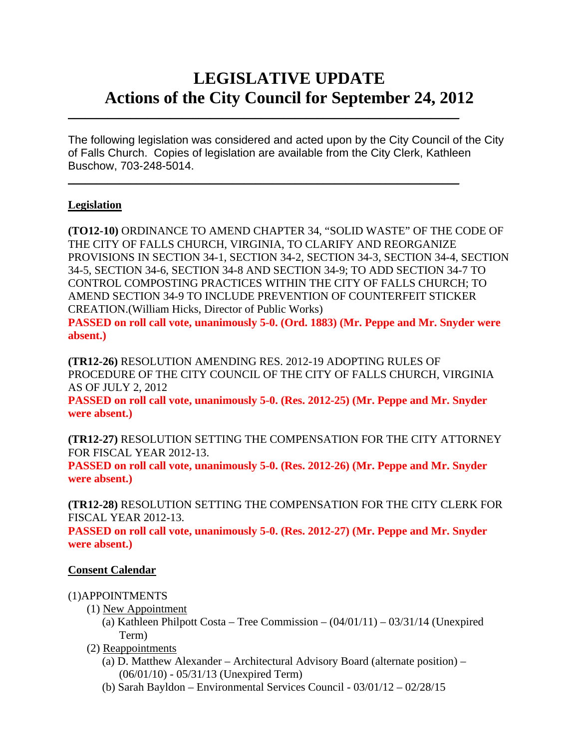# **LEGISLATIVE UPDATE Actions of the City Council for September 24, 2012**

The following legislation was considered and acted upon by the City Council of the City of Falls Church. Copies of legislation are available from the City Clerk, Kathleen Buschow, 703-248-5014.

 $\mathcal{L}_\text{max}$  and  $\mathcal{L}_\text{max}$  and  $\mathcal{L}_\text{max}$  and  $\mathcal{L}_\text{max}$  and  $\mathcal{L}_\text{max}$  and  $\mathcal{L}_\text{max}$ 

 $\mathcal{L}_\text{max}$  and  $\mathcal{L}_\text{max}$  and  $\mathcal{L}_\text{max}$  and  $\mathcal{L}_\text{max}$  and  $\mathcal{L}_\text{max}$  and  $\mathcal{L}_\text{max}$ 

## **Legislation**

**absent.)** 

**(TO12-10)** ORDINANCE TO AMEND CHAPTER 34, "SOLID WASTE" OF THE CODE OF THE CITY OF FALLS CHURCH, VIRGINIA, TO CLARIFY AND REORGANIZE PROVISIONS IN SECTION 34-1, SECTION 34-2, SECTION 34-3, SECTION 34-4, SECTION 34-5, SECTION 34-6, SECTION 34-8 AND SECTION 34-9; TO ADD SECTION 34-7 TO CONTROL COMPOSTING PRACTICES WITHIN THE CITY OF FALLS CHURCH; TO AMEND SECTION 34-9 TO INCLUDE PREVENTION OF COUNTERFEIT STICKER CREATION.(William Hicks, Director of Public Works) **PASSED on roll call vote, unanimously 5-0. (Ord. 1883) (Mr. Peppe and Mr. Snyder were** 

**(TR12-26)** RESOLUTION AMENDING RES. 2012-19 ADOPTING RULES OF PROCEDURE OF THE CITY COUNCIL OF THE CITY OF FALLS CHURCH, VIRGINIA AS OF JULY 2, 2012

**PASSED on roll call vote, unanimously 5-0. (Res. 2012-25) (Mr. Peppe and Mr. Snyder were absent.)** 

**(TR12-27)** RESOLUTION SETTING THE COMPENSATION FOR THE CITY ATTORNEY FOR FISCAL YEAR 2012-13.

**PASSED on roll call vote, unanimously 5-0. (Res. 2012-26) (Mr. Peppe and Mr. Snyder were absent.)** 

**(TR12-28)** RESOLUTION SETTING THE COMPENSATION FOR THE CITY CLERK FOR FISCAL YEAR 2012-13.

**PASSED on roll call vote, unanimously 5-0. (Res. 2012-27) (Mr. Peppe and Mr. Snyder were absent.)** 

### **Consent Calendar**

#### (1)APPOINTMENTS

- (1) New Appointment
	- (a) Kathleen Philpott Costa Tree Commission  $(04/01/11)$   $03/31/14$  (Unexpired Term)
- (2) Reappointments
	- (a) D. Matthew Alexander Architectural Advisory Board (alternate position) (06/01/10) - 05/31/13 (Unexpired Term)
	- (b) Sarah Bayldon Environmental Services Council 03/01/12 02/28/15